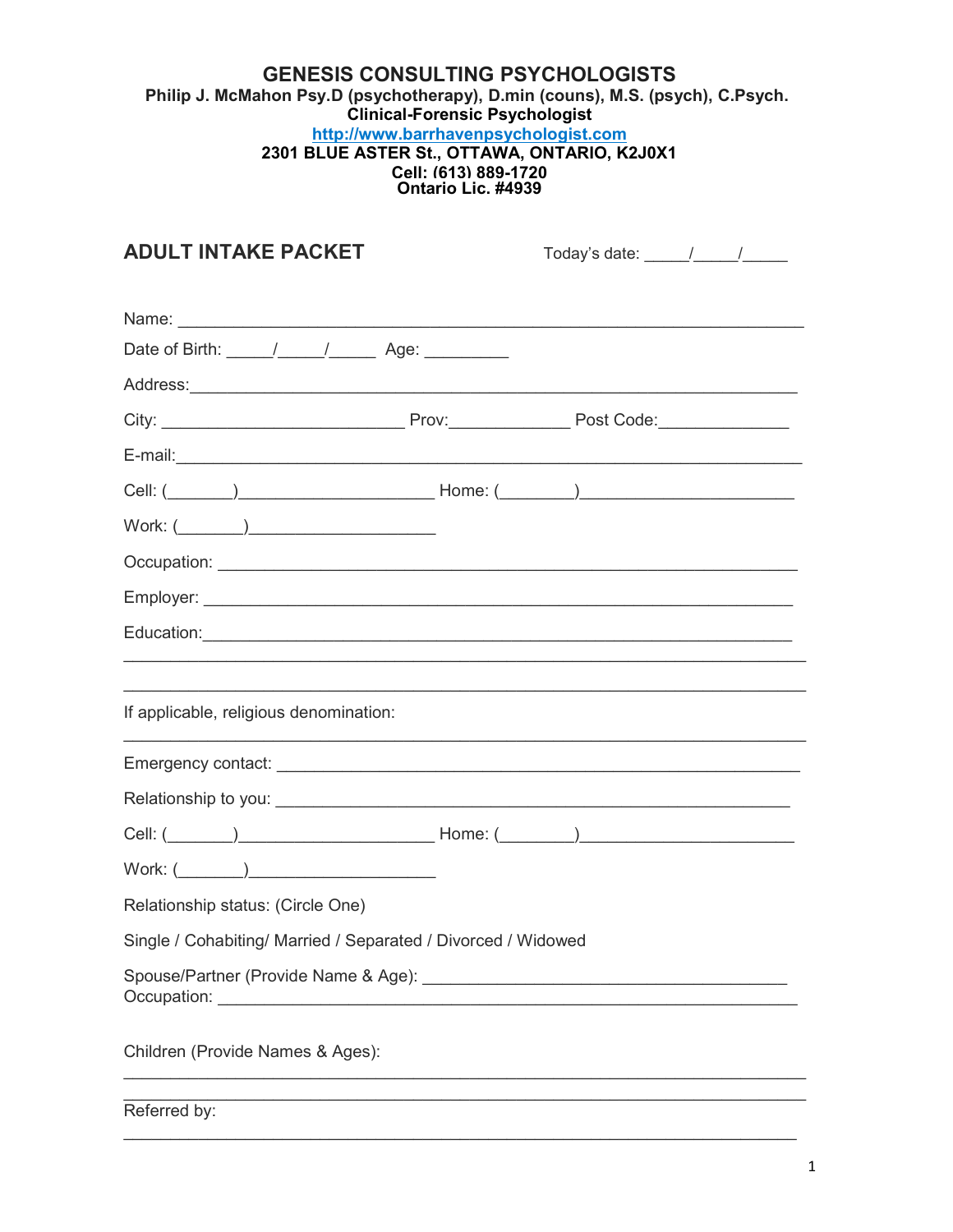## **GENESIS CONSULTING PSYCHOLOGISTS** Philip J. McMahon Psy.D (psychotherapy), D.min (couns), M.S. (psych), C.Psych. Clinical-Forensic Psychologist http://www.barrhavenpsychologist.com 2301 BLUE ASTER St., OTTAWA, ONTARIO, K2J0X1 Cell: (613) 889-1720<br>Ontario Lic. #4939

| <b>ADULT INTAKE PACKET</b>                                    | Today's date: _____/____/__________                                              |  |
|---------------------------------------------------------------|----------------------------------------------------------------------------------|--|
|                                                               |                                                                                  |  |
|                                                               |                                                                                  |  |
|                                                               |                                                                                  |  |
|                                                               |                                                                                  |  |
|                                                               |                                                                                  |  |
|                                                               |                                                                                  |  |
|                                                               |                                                                                  |  |
|                                                               |                                                                                  |  |
|                                                               |                                                                                  |  |
|                                                               |                                                                                  |  |
|                                                               |                                                                                  |  |
|                                                               | ,我们也不会有什么。""我们的人,我们也不会有什么?""我们的人,我们也不会有什么?""我们的人,我们也不会有什么?""我们的人,我们也不会有什么?""我们的人 |  |
| If applicable, religious denomination:                        |                                                                                  |  |
| <u> 1989 - Johann Stoff, amerikansk politiker (d. 1989)</u>   |                                                                                  |  |
|                                                               |                                                                                  |  |
|                                                               |                                                                                  |  |
|                                                               |                                                                                  |  |
| Relationship status: (Circle One)                             |                                                                                  |  |
| Single / Cohabiting/ Married / Separated / Divorced / Widowed |                                                                                  |  |
|                                                               |                                                                                  |  |
| Children (Provide Names & Ages):                              |                                                                                  |  |
|                                                               |                                                                                  |  |

Referred by: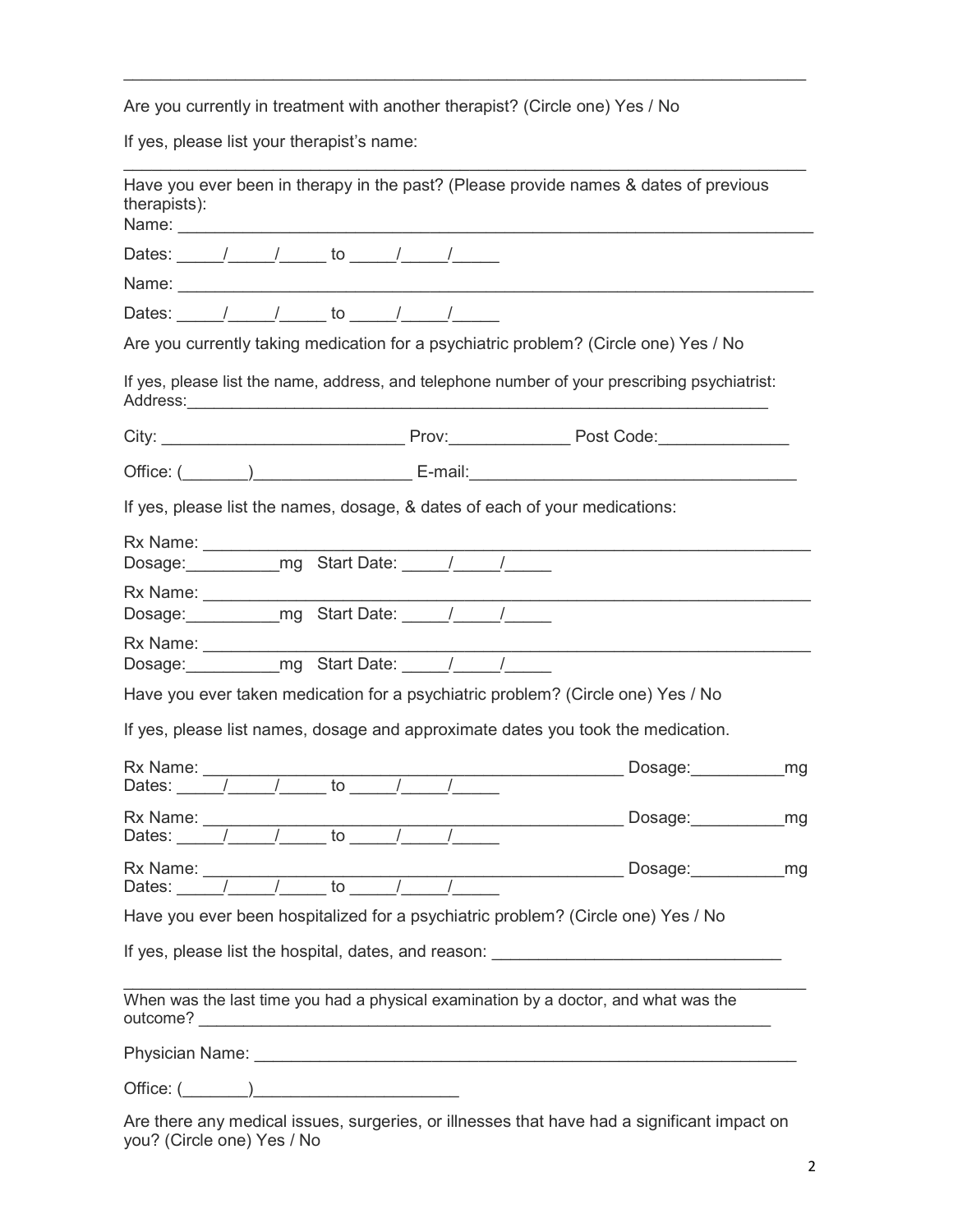Are you currently in treatment with another therapist? (Circle one) Yes / No

 $\mathcal{L}_\text{max} = \mathcal{L}_\text{max} = \mathcal{L}_\text{max} = \mathcal{L}_\text{max} = \mathcal{L}_\text{max} = \mathcal{L}_\text{max} = \mathcal{L}_\text{max} = \mathcal{L}_\text{max} = \mathcal{L}_\text{max} = \mathcal{L}_\text{max} = \mathcal{L}_\text{max} = \mathcal{L}_\text{max} = \mathcal{L}_\text{max} = \mathcal{L}_\text{max} = \mathcal{L}_\text{max} = \mathcal{L}_\text{max} = \mathcal{L}_\text{max} = \mathcal{L}_\text{max} = \mathcal{$ 

 $\mathcal{L}_\text{max} = \mathcal{L}_\text{max} = \mathcal{L}_\text{max} = \mathcal{L}_\text{max} = \mathcal{L}_\text{max} = \mathcal{L}_\text{max} = \mathcal{L}_\text{max} = \mathcal{L}_\text{max} = \mathcal{L}_\text{max} = \mathcal{L}_\text{max} = \mathcal{L}_\text{max} = \mathcal{L}_\text{max} = \mathcal{L}_\text{max} = \mathcal{L}_\text{max} = \mathcal{L}_\text{max} = \mathcal{L}_\text{max} = \mathcal{L}_\text{max} = \mathcal{L}_\text{max} = \mathcal{$ 

If yes, please list your therapist's name:

| Have you ever been in therapy in the past? (Please provide names & dates of previous<br>therapists):                                                                                                                                                                                                                                                                                                                                          |                                                                                                                                                                                                                                      |    |
|-----------------------------------------------------------------------------------------------------------------------------------------------------------------------------------------------------------------------------------------------------------------------------------------------------------------------------------------------------------------------------------------------------------------------------------------------|--------------------------------------------------------------------------------------------------------------------------------------------------------------------------------------------------------------------------------------|----|
| Dates: / / / to / / /                                                                                                                                                                                                                                                                                                                                                                                                                         |                                                                                                                                                                                                                                      |    |
|                                                                                                                                                                                                                                                                                                                                                                                                                                               |                                                                                                                                                                                                                                      |    |
| Dates: $\frac{1}{\sqrt{2}}$ / to $\frac{1}{\sqrt{2}}$                                                                                                                                                                                                                                                                                                                                                                                         |                                                                                                                                                                                                                                      |    |
| Are you currently taking medication for a psychiatric problem? (Circle one) Yes / No                                                                                                                                                                                                                                                                                                                                                          |                                                                                                                                                                                                                                      |    |
| If yes, please list the name, address, and telephone number of your prescribing psychiatrist:                                                                                                                                                                                                                                                                                                                                                 |                                                                                                                                                                                                                                      |    |
|                                                                                                                                                                                                                                                                                                                                                                                                                                               |                                                                                                                                                                                                                                      |    |
| Office: ( <u>Netally Communication</u> E-mail: E-mail: E-mail: Communication of the set of the set of the set of the set of the set of the set of the set of the set of the set of the set of the set of the set of the set of the s                                                                                                                                                                                                          |                                                                                                                                                                                                                                      |    |
| If yes, please list the names, dosage, & dates of each of your medications:                                                                                                                                                                                                                                                                                                                                                                   |                                                                                                                                                                                                                                      |    |
| Dosage: mg Start Date: 1                                                                                                                                                                                                                                                                                                                                                                                                                      |                                                                                                                                                                                                                                      |    |
| Dosage: mg Start Date: /////                                                                                                                                                                                                                                                                                                                                                                                                                  |                                                                                                                                                                                                                                      |    |
|                                                                                                                                                                                                                                                                                                                                                                                                                                               |                                                                                                                                                                                                                                      |    |
| Have you ever taken medication for a psychiatric problem? (Circle one) Yes / No                                                                                                                                                                                                                                                                                                                                                               |                                                                                                                                                                                                                                      |    |
| If yes, please list names, dosage and approximate dates you took the medication.                                                                                                                                                                                                                                                                                                                                                              |                                                                                                                                                                                                                                      |    |
|                                                                                                                                                                                                                                                                                                                                                                                                                                               | Dosage: mg                                                                                                                                                                                                                           |    |
| Rx Name:<br>Dates: $\frac{1}{\sqrt{1-\frac{1}{1-\frac{1}{1-\frac{1}{1-\frac{1}{1-\frac{1}{1-\frac{1}{1-\frac{1}{1-\frac{1}{1-\frac{1}{1-\frac{1}{1-\frac{1}{1-\frac{1}{1-\frac{1}{1-\frac{1}{1-\frac{1}{1-\frac{1}{1-\frac{1}{1-\frac{1}{1-\frac{1}{1-\frac{1}{1-\frac{1}{1-\frac{1}{1-\frac{1}{1-\frac{1}{1-\frac{1}{1-\frac{1}{1-\frac{1}{1-\frac{1}{1-\frac{1}{1-\frac{1}{1-\frac{1}{1-\frac{1}{1-\frac{1}{1-\frac{1}{1$<br>$\frac{1}{10}$ | Manufacture Dosage: Manufacture Dosage: Manufacture Dosage: Manufacture Dosage: Manufacture Dosage: Manufactur<br>Manufacture Dosage: Manufacture Dosage: Manufacture Dosage: Manufacture Dosage: Manufacture Dosage: Manufactur<br> |    |
| Rx Name:<br>Dates: $/$ / to $/$ /                                                                                                                                                                                                                                                                                                                                                                                                             | Dosage:                                                                                                                                                                                                                              | mg |
| Have you ever been hospitalized for a psychiatric problem? (Circle one) Yes / No                                                                                                                                                                                                                                                                                                                                                              |                                                                                                                                                                                                                                      |    |
| If yes, please list the hospital, dates, and reason: <u>the contract of the contract of</u> the contract of the contract of the contract of the contract of the contract of the contract of the contract of the contract of the con                                                                                                                                                                                                           |                                                                                                                                                                                                                                      |    |
| When was the last time you had a physical examination by a doctor, and what was the                                                                                                                                                                                                                                                                                                                                                           |                                                                                                                                                                                                                                      |    |
|                                                                                                                                                                                                                                                                                                                                                                                                                                               |                                                                                                                                                                                                                                      |    |
| $Office: (\_\_)$                                                                                                                                                                                                                                                                                                                                                                                                                              |                                                                                                                                                                                                                                      |    |
| Are there any modical issues, surgeries, or illnesses that have had a significant impact on                                                                                                                                                                                                                                                                                                                                                   |                                                                                                                                                                                                                                      |    |

Are there any medical issues, surgeries, or illnesses that have had a significant impact on you? (Circle one) Yes / No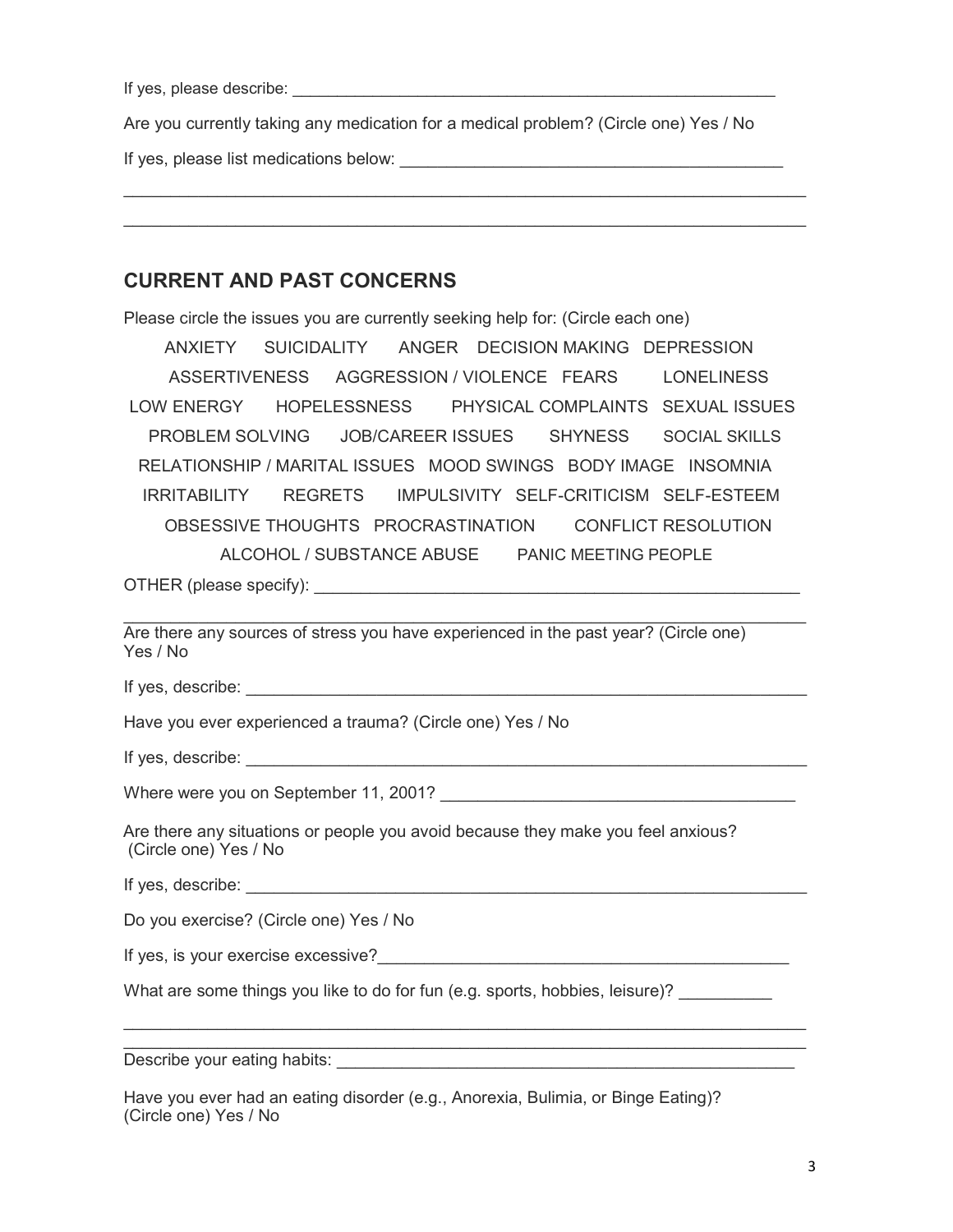If yes, please describe: \_\_\_\_\_\_\_\_\_\_\_\_\_\_\_\_\_\_\_\_\_\_\_\_\_\_\_\_\_\_\_\_\_\_\_\_\_\_\_\_\_\_\_\_\_\_\_\_\_\_\_\_\_\_

Are you currently taking any medication for a medical problem? (Circle one) Yes / No

 $\mathcal{L}_\text{max} = \mathcal{L}_\text{max} = \mathcal{L}_\text{max} = \mathcal{L}_\text{max} = \mathcal{L}_\text{max} = \mathcal{L}_\text{max} = \mathcal{L}_\text{max} = \mathcal{L}_\text{max} = \mathcal{L}_\text{max} = \mathcal{L}_\text{max} = \mathcal{L}_\text{max} = \mathcal{L}_\text{max} = \mathcal{L}_\text{max} = \mathcal{L}_\text{max} = \mathcal{L}_\text{max} = \mathcal{L}_\text{max} = \mathcal{L}_\text{max} = \mathcal{L}_\text{max} = \mathcal{$ 

If yes, please list medications below: \_\_\_\_\_\_\_\_\_\_\_\_\_\_\_\_\_\_\_\_\_\_\_\_\_\_\_\_\_\_\_\_\_\_\_\_\_\_\_\_\_

## CURRENT AND PAST CONCERNS

Please circle the issues you are currently seeking help for: (Circle each one) ANXIETY SUICIDALITY ANGER DECISION MAKING DEPRESSION ASSERTIVENESS AGGRESSION / VIOLENCE FEARS LONELINESS LOW ENERGY HOPELESSNESS PHYSICAL COMPLAINTS SEXUAL ISSUES PROBLEM SOLVING JOB/CAREER ISSUES SHYNESS SOCIAL SKILLS RELATIONSHIP / MARITAL ISSUES MOOD SWINGS BODY IMAGE INSOMNIA IRRITABILITY REGRETS IMPULSIVITY SELF-CRITICISM SELF-ESTEEM OBSESSIVE THOUGHTS PROCRASTINATION CONFLICT RESOLUTION ALCOHOL / SUBSTANCE ABUSE PANIC MEETING PEOPLE OTHER (please specify):

Are there any sources of stress you have experienced in the past year? (Circle one) Yes / No

If yes, describe:

Have you ever experienced a trauma? (Circle one) Yes / No

If yes, describe: \_\_\_\_\_\_\_\_\_\_\_\_\_\_\_\_\_\_\_\_\_\_\_\_\_\_\_\_\_\_\_\_\_\_\_\_\_\_\_\_\_\_\_\_\_\_\_\_\_\_\_\_\_\_\_\_\_\_\_\_

Where were you on September 11, 2001? Where were you on September 11, 2001?

Are there any situations or people you avoid because they make you feel anxious? (Circle one) Yes / No

If yes, describe: \_\_\_\_\_\_\_\_\_\_\_\_\_\_\_\_\_\_\_\_\_\_\_\_\_\_\_\_\_\_\_\_\_\_\_\_\_\_\_\_\_\_\_\_\_\_\_\_\_\_\_\_\_\_\_\_\_\_\_\_

Do you exercise? (Circle one) Yes / No

If yes, is your exercise excessive? The state of the state of the state of the state of the state of the state of the state of the state of the state of the state of the state of the state of the state of the state of the

What are some things you like to do for fun (e.g. sports, hobbies, leisure)?

 $\mathcal{L}_\text{max} = \mathcal{L}_\text{max} = \mathcal{L}_\text{max} = \mathcal{L}_\text{max} = \mathcal{L}_\text{max} = \mathcal{L}_\text{max} = \mathcal{L}_\text{max} = \mathcal{L}_\text{max} = \mathcal{L}_\text{max} = \mathcal{L}_\text{max} = \mathcal{L}_\text{max} = \mathcal{L}_\text{max} = \mathcal{L}_\text{max} = \mathcal{L}_\text{max} = \mathcal{L}_\text{max} = \mathcal{L}_\text{max} = \mathcal{L}_\text{max} = \mathcal{L}_\text{max} = \mathcal{$  $\mathcal{L}_\text{max} = \mathcal{L}_\text{max} = \mathcal{L}_\text{max} = \mathcal{L}_\text{max} = \mathcal{L}_\text{max} = \mathcal{L}_\text{max} = \mathcal{L}_\text{max} = \mathcal{L}_\text{max} = \mathcal{L}_\text{max} = \mathcal{L}_\text{max} = \mathcal{L}_\text{max} = \mathcal{L}_\text{max} = \mathcal{L}_\text{max} = \mathcal{L}_\text{max} = \mathcal{L}_\text{max} = \mathcal{L}_\text{max} = \mathcal{L}_\text{max} = \mathcal{L}_\text{max} = \mathcal{$ 

Describe your eating habits: **Example 20** and the set of the set of the set of the set of the set of the set of the set of the set of the set of the set of the set of the set of the set of the set of the set of the set of

Have you ever had an eating disorder (e.g., Anorexia, Bulimia, or Binge Eating)? (Circle one) Yes / No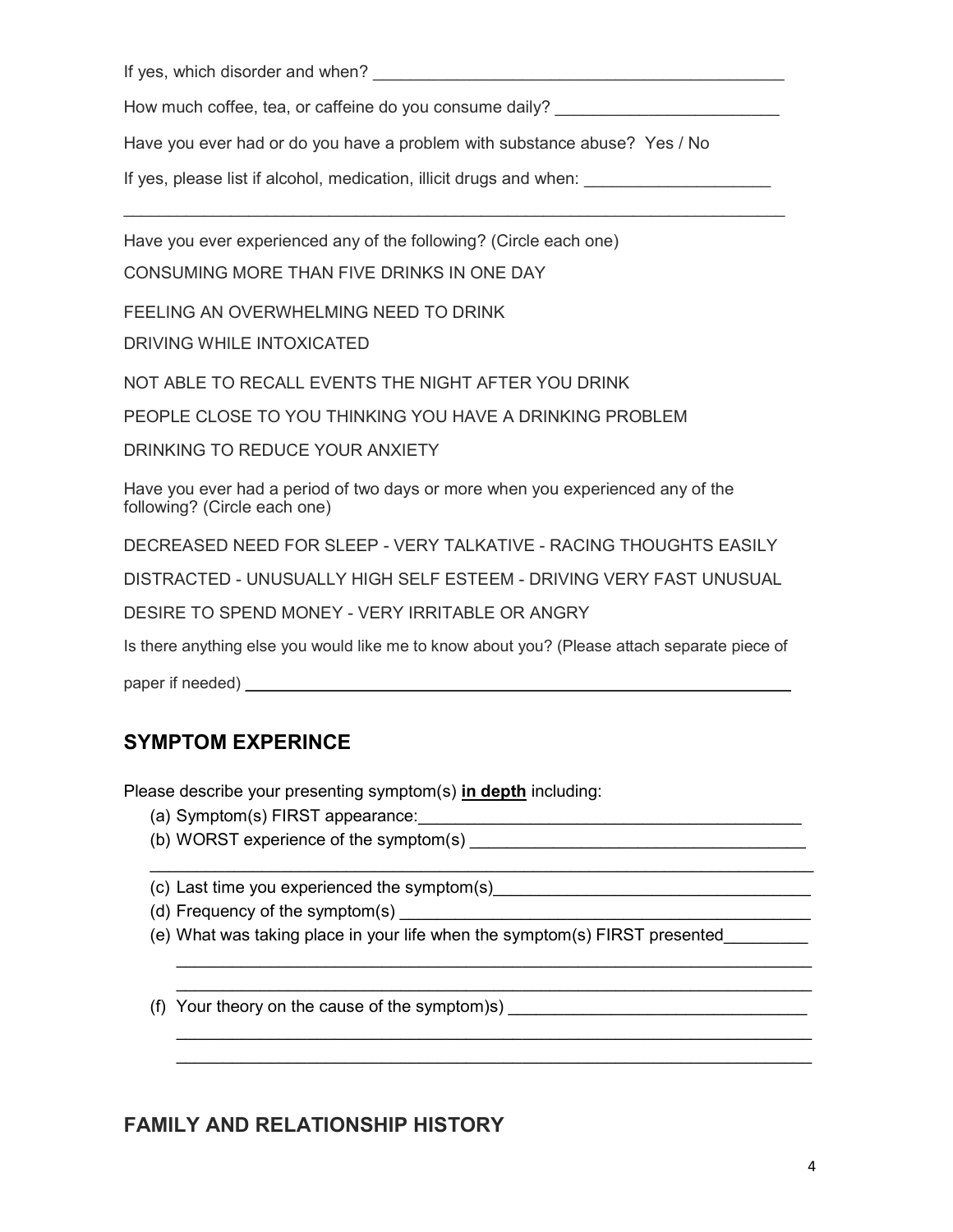If yes, which disorder and when? \_\_\_\_\_\_\_\_\_\_\_\_\_\_\_\_\_\_\_\_\_\_\_\_\_\_\_\_\_\_\_\_\_\_\_\_\_\_\_\_\_\_\_\_

How much coffee, tea, or caffeine do you consume daily?

Have you ever had or do you have a problem with substance abuse? Yes / No

\_\_\_\_\_\_\_\_\_\_\_\_\_\_\_\_\_\_\_\_\_\_\_\_\_\_\_\_\_\_\_\_\_\_\_\_\_\_\_\_\_\_\_\_\_\_\_\_\_\_\_\_\_\_\_\_\_\_\_\_\_\_\_\_\_\_\_\_\_\_\_\_\_\_

If yes, please list if alcohol, medication, illicit drugs and when:

Have you ever experienced any of the following? (Circle each one)

CONSUMING MORE THAN FIVE DRINKS IN ONE DAY

FEELING AN OVERWHELMING NEED TO DRINK

DRIVING WHILE INTOXICATED

NOT ABLE TO RECALL EVENTS THE NIGHT AFTER YOU DRINK

PEOPLE CLOSE TO YOU THINKING YOU HAVE A DRINKING PROBLEM

DRINKING TO REDUCE YOUR ANXIETY

Have you ever had a period of two days or more when you experienced any of the following? (Circle each one)

DECREASED NEED FOR SLEEP - VERY TALKATIVE - RACING THOUGHTS EASILY

DISTRACTED - UNUSUALLY HIGH SELF ESTEEM - DRIVING VERY FAST UNUSUAL

DESIRE TO SPEND MONEY - VERY IRRITABLE OR ANGRY

Is there anything else you would like me to know about you? (Please attach separate piece of

paper if needed) \_\_\_\_\_\_\_\_\_\_\_\_\_\_\_\_\_\_\_\_\_\_\_\_\_\_\_\_\_\_\_\_\_\_\_\_\_\_\_\_\_\_\_\_\_\_\_\_\_\_\_\_\_\_\_\_\_\_\_\_\_

# SYMPTOM EXPERINCE

Please describe your presenting symptom(s) in depth including:

- (a) Symptom(s) FIRST appearance:\_\_\_\_\_\_\_\_\_\_\_\_\_\_\_\_\_\_\_\_\_\_\_\_\_\_\_\_\_\_\_\_\_\_\_\_\_\_\_\_\_
- (b) WORST experience of the symptom(s)

(c) Last time you experienced the symptom(s)\_\_\_\_\_\_\_\_\_\_\_\_\_\_\_\_\_\_\_\_\_\_\_\_\_\_\_\_\_\_\_\_\_\_

(d) Frequency of the symptom $(s)$ 

(e) What was taking place in your life when the symptom(s) FIRST presented\_\_\_\_\_\_\_\_\_

 $\mathcal{L}_\text{max} = \mathcal{L}_\text{max} = \mathcal{L}_\text{max} = \mathcal{L}_\text{max} = \mathcal{L}_\text{max} = \mathcal{L}_\text{max} = \mathcal{L}_\text{max} = \mathcal{L}_\text{max} = \mathcal{L}_\text{max} = \mathcal{L}_\text{max} = \mathcal{L}_\text{max} = \mathcal{L}_\text{max} = \mathcal{L}_\text{max} = \mathcal{L}_\text{max} = \mathcal{L}_\text{max} = \mathcal{L}_\text{max} = \mathcal{L}_\text{max} = \mathcal{L}_\text{max} = \mathcal{$ 

\_\_\_\_\_\_\_\_\_\_\_\_\_\_\_\_\_\_\_\_\_\_\_\_\_\_\_\_\_\_\_\_\_\_\_\_\_\_\_\_\_\_\_\_\_\_\_\_\_\_\_\_\_\_\_\_\_\_\_\_\_\_\_\_\_\_\_\_

\_\_\_\_\_\_\_\_\_\_\_\_\_\_\_\_\_\_\_\_\_\_\_\_\_\_\_\_\_\_\_\_\_\_\_\_\_\_\_\_\_\_\_\_\_\_\_\_\_\_\_\_\_\_\_\_\_\_\_\_\_\_\_\_\_\_\_\_

(f) Your theory on the cause of the symptom)s)  $\frac{1}{\sqrt{1-\frac{1}{2}}\sqrt{1-\frac{1}{2}}\left(\frac{1}{2}-\frac{1}{2}\right)}$ 

## FAMILY AND RELATIONSHIP HISTORY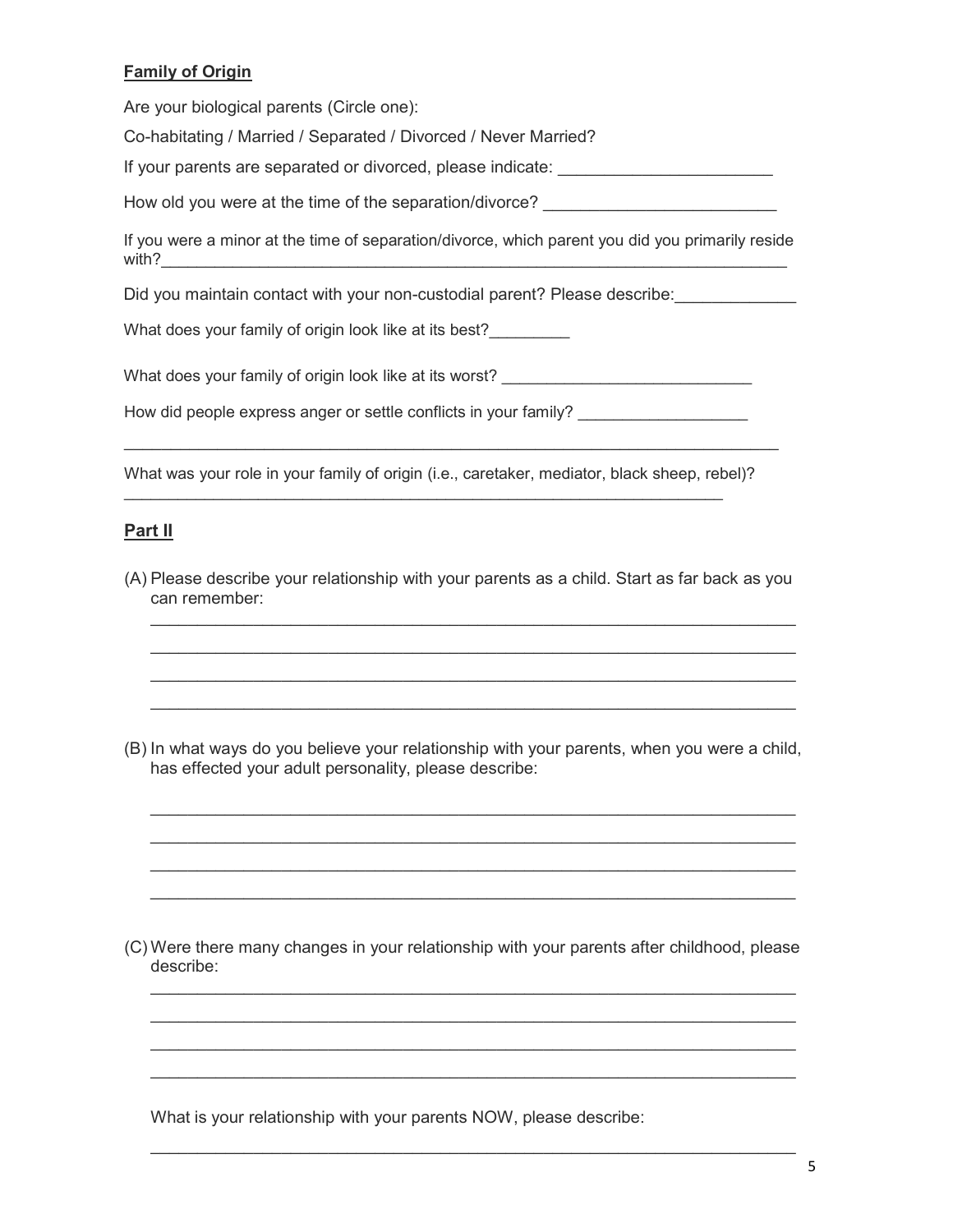### Family of Origin

Are your biological parents (Circle one):

Co-habitating / Married / Separated / Divorced / Never Married?

If your parents are separated or divorced, please indicate: \_\_\_\_\_\_\_\_\_\_\_\_\_\_\_\_\_\_\_\_\_

How old you were at the time of the separation/divorce?

If you were a minor at the time of separation/divorce, which parent you did you primarily reside with?  $\qquad \qquad \qquad \qquad$ 

Did you maintain contact with your non-custodial parent? Please describe:

What does your family of origin look like at its best?

What does your family of origin look like at its worst?

How did people express anger or settle conflicts in your family?

What was your role in your family of origin (i.e., caretaker, mediator, black sheep, rebel)?

\_\_\_\_\_\_\_\_\_\_\_\_\_\_\_\_\_\_\_\_\_\_\_\_\_\_\_\_\_\_\_\_\_\_\_\_\_\_\_\_\_\_\_\_\_\_\_\_\_\_\_\_\_\_\_\_\_\_\_\_\_\_\_\_\_\_\_

\_\_\_\_\_\_\_\_\_\_\_\_\_\_\_\_\_\_\_\_\_\_\_\_\_\_\_\_\_\_\_\_\_\_\_\_\_\_\_\_\_\_\_\_\_\_\_\_\_\_\_\_\_\_\_\_\_\_\_\_\_\_\_\_\_\_\_\_\_\_

### **Part II**

(A) Please describe your relationship with your parents as a child. Start as far back as you can remember:

 $\mathcal{L}_\text{max} = \mathcal{L}_\text{max} = \mathcal{L}_\text{max} = \mathcal{L}_\text{max} = \mathcal{L}_\text{max} = \mathcal{L}_\text{max} = \mathcal{L}_\text{max} = \mathcal{L}_\text{max} = \mathcal{L}_\text{max} = \mathcal{L}_\text{max} = \mathcal{L}_\text{max} = \mathcal{L}_\text{max} = \mathcal{L}_\text{max} = \mathcal{L}_\text{max} = \mathcal{L}_\text{max} = \mathcal{L}_\text{max} = \mathcal{L}_\text{max} = \mathcal{L}_\text{max} = \mathcal{$  $\mathcal{L}_\text{max} = \mathcal{L}_\text{max} = \mathcal{L}_\text{max} = \mathcal{L}_\text{max} = \mathcal{L}_\text{max} = \mathcal{L}_\text{max} = \mathcal{L}_\text{max} = \mathcal{L}_\text{max} = \mathcal{L}_\text{max} = \mathcal{L}_\text{max} = \mathcal{L}_\text{max} = \mathcal{L}_\text{max} = \mathcal{L}_\text{max} = \mathcal{L}_\text{max} = \mathcal{L}_\text{max} = \mathcal{L}_\text{max} = \mathcal{L}_\text{max} = \mathcal{L}_\text{max} = \mathcal{$  $\mathcal{L}_\text{max} = \mathcal{L}_\text{max} = \mathcal{L}_\text{max} = \mathcal{L}_\text{max} = \mathcal{L}_\text{max} = \mathcal{L}_\text{max} = \mathcal{L}_\text{max} = \mathcal{L}_\text{max} = \mathcal{L}_\text{max} = \mathcal{L}_\text{max} = \mathcal{L}_\text{max} = \mathcal{L}_\text{max} = \mathcal{L}_\text{max} = \mathcal{L}_\text{max} = \mathcal{L}_\text{max} = \mathcal{L}_\text{max} = \mathcal{L}_\text{max} = \mathcal{L}_\text{max} = \mathcal{$  $\mathcal{L}_\text{max} = \mathcal{L}_\text{max} = \mathcal{L}_\text{max} = \mathcal{L}_\text{max} = \mathcal{L}_\text{max} = \mathcal{L}_\text{max} = \mathcal{L}_\text{max} = \mathcal{L}_\text{max} = \mathcal{L}_\text{max} = \mathcal{L}_\text{max} = \mathcal{L}_\text{max} = \mathcal{L}_\text{max} = \mathcal{L}_\text{max} = \mathcal{L}_\text{max} = \mathcal{L}_\text{max} = \mathcal{L}_\text{max} = \mathcal{L}_\text{max} = \mathcal{L}_\text{max} = \mathcal{$ 

(B) In what ways do you believe your relationship with your parents, when you were a child, has effected your adult personality, please describe:

\_\_\_\_\_\_\_\_\_\_\_\_\_\_\_\_\_\_\_\_\_\_\_\_\_\_\_\_\_\_\_\_\_\_\_\_\_\_\_\_\_\_\_\_\_\_\_\_\_\_\_\_\_\_\_\_\_\_\_\_\_\_\_\_\_\_\_\_\_ \_\_\_\_\_\_\_\_\_\_\_\_\_\_\_\_\_\_\_\_\_\_\_\_\_\_\_\_\_\_\_\_\_\_\_\_\_\_\_\_\_\_\_\_\_\_\_\_\_\_\_\_\_\_\_\_\_\_\_\_\_\_\_\_\_\_\_\_\_ \_\_\_\_\_\_\_\_\_\_\_\_\_\_\_\_\_\_\_\_\_\_\_\_\_\_\_\_\_\_\_\_\_\_\_\_\_\_\_\_\_\_\_\_\_\_\_\_\_\_\_\_\_\_\_\_\_\_\_\_\_\_\_\_\_\_\_\_\_ \_\_\_\_\_\_\_\_\_\_\_\_\_\_\_\_\_\_\_\_\_\_\_\_\_\_\_\_\_\_\_\_\_\_\_\_\_\_\_\_\_\_\_\_\_\_\_\_\_\_\_\_\_\_\_\_\_\_\_\_\_\_\_\_\_\_\_\_\_

(C) Were there many changes in your relationship with your parents after childhood, please describe:

\_\_\_\_\_\_\_\_\_\_\_\_\_\_\_\_\_\_\_\_\_\_\_\_\_\_\_\_\_\_\_\_\_\_\_\_\_\_\_\_\_\_\_\_\_\_\_\_\_\_\_\_\_\_\_\_\_\_\_\_\_\_\_\_\_\_\_\_\_  $\mathcal{L}_\text{max} = \mathcal{L}_\text{max} = \mathcal{L}_\text{max} = \mathcal{L}_\text{max} = \mathcal{L}_\text{max} = \mathcal{L}_\text{max} = \mathcal{L}_\text{max} = \mathcal{L}_\text{max} = \mathcal{L}_\text{max} = \mathcal{L}_\text{max} = \mathcal{L}_\text{max} = \mathcal{L}_\text{max} = \mathcal{L}_\text{max} = \mathcal{L}_\text{max} = \mathcal{L}_\text{max} = \mathcal{L}_\text{max} = \mathcal{L}_\text{max} = \mathcal{L}_\text{max} = \mathcal{$  $\mathcal{L}_\text{max} = \mathcal{L}_\text{max} = \mathcal{L}_\text{max} = \mathcal{L}_\text{max} = \mathcal{L}_\text{max} = \mathcal{L}_\text{max} = \mathcal{L}_\text{max} = \mathcal{L}_\text{max} = \mathcal{L}_\text{max} = \mathcal{L}_\text{max} = \mathcal{L}_\text{max} = \mathcal{L}_\text{max} = \mathcal{L}_\text{max} = \mathcal{L}_\text{max} = \mathcal{L}_\text{max} = \mathcal{L}_\text{max} = \mathcal{L}_\text{max} = \mathcal{L}_\text{max} = \mathcal{$  $\mathcal{L}_\mathcal{L} = \{ \mathcal{L}_\mathcal{L} = \{ \mathcal{L}_\mathcal{L} = \{ \mathcal{L}_\mathcal{L} = \{ \mathcal{L}_\mathcal{L} = \{ \mathcal{L}_\mathcal{L} = \{ \mathcal{L}_\mathcal{L} = \{ \mathcal{L}_\mathcal{L} = \{ \mathcal{L}_\mathcal{L} = \{ \mathcal{L}_\mathcal{L} = \{ \mathcal{L}_\mathcal{L} = \{ \mathcal{L}_\mathcal{L} = \{ \mathcal{L}_\mathcal{L} = \{ \mathcal{L}_\mathcal{L} = \{ \mathcal{L}_\mathcal{$ 

 $\mathcal{L}_\text{max} = \mathcal{L}_\text{max} = \mathcal{L}_\text{max} = \mathcal{L}_\text{max} = \mathcal{L}_\text{max} = \mathcal{L}_\text{max} = \mathcal{L}_\text{max} = \mathcal{L}_\text{max} = \mathcal{L}_\text{max} = \mathcal{L}_\text{max} = \mathcal{L}_\text{max} = \mathcal{L}_\text{max} = \mathcal{L}_\text{max} = \mathcal{L}_\text{max} = \mathcal{L}_\text{max} = \mathcal{L}_\text{max} = \mathcal{L}_\text{max} = \mathcal{L}_\text{max} = \mathcal{$ 

What is your relationship with your parents NOW, please describe: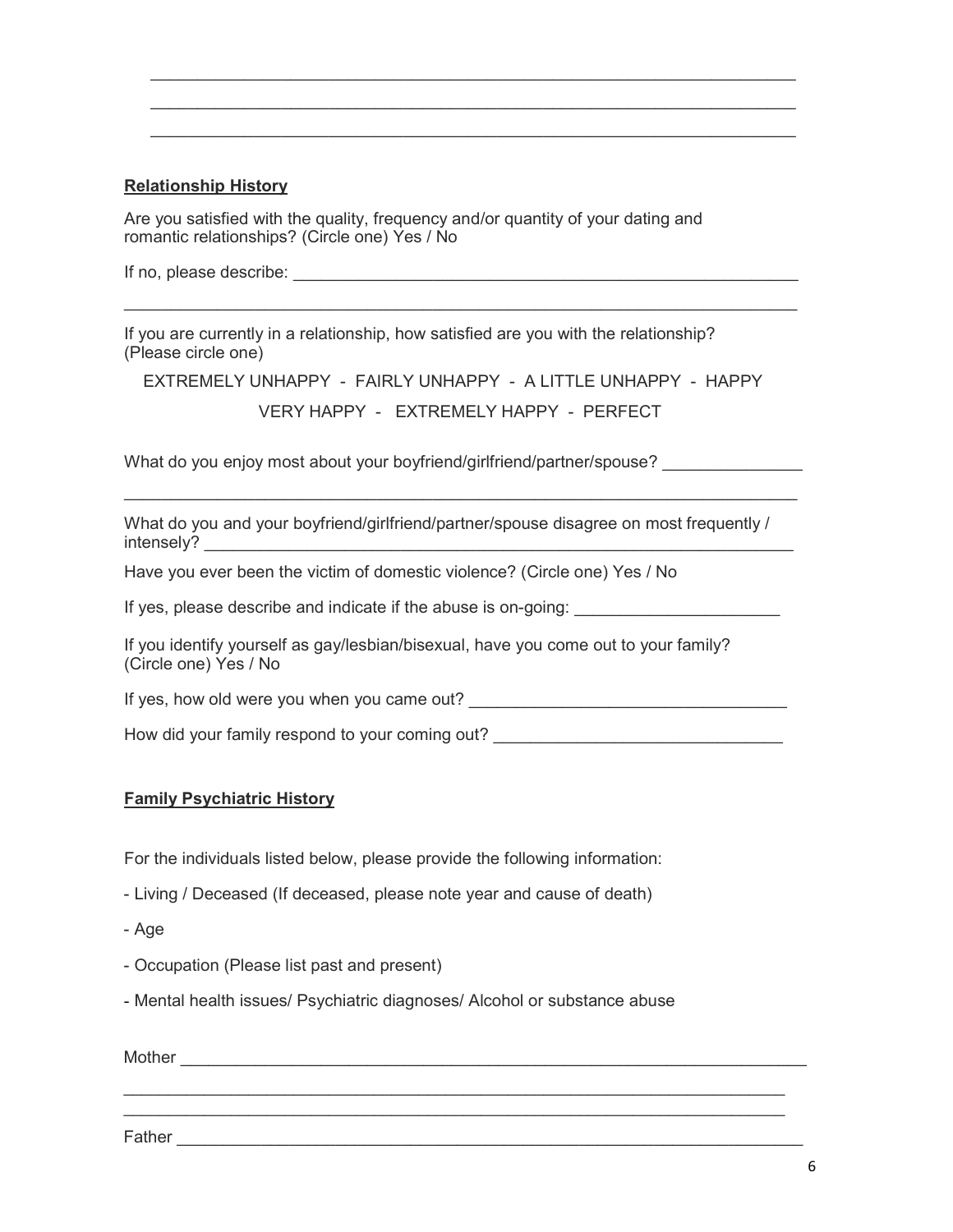### Relationship History

Are you satisfied with the quality, frequency and/or quantity of your dating and romantic relationships? (Circle one) Yes / No

If no, please describe:  $\blacksquare$ 

If you are currently in a relationship, how satisfied are you with the relationship? (Please circle one)

```
EXTREMELY UNHAPPY - FAIRLY UNHAPPY - A LITTLE UNHAPPY - HAPPY
```
VERY HAPPY - EXTREMELY HAPPY - PERFECT

 $\_$  , and the state of the state of the state of the state of the state of the state of the state of the state of the state of the state of the state of the state of the state of the state of the state of the state of the

\_\_\_\_\_\_\_\_\_\_\_\_\_\_\_\_\_\_\_\_\_\_\_\_\_\_\_\_\_\_\_\_\_\_\_\_\_\_\_\_\_\_\_\_\_\_\_\_\_\_\_\_\_\_\_\_\_\_\_\_\_\_\_\_\_\_\_\_\_\_\_\_

\_\_\_\_\_\_\_\_\_\_\_\_\_\_\_\_\_\_\_\_\_\_\_\_\_\_\_\_\_\_\_\_\_\_\_\_\_\_\_\_\_\_\_\_\_\_\_\_\_\_\_\_\_\_\_\_\_\_\_\_\_\_\_\_\_\_\_\_\_ \_\_\_\_\_\_\_\_\_\_\_\_\_\_\_\_\_\_\_\_\_\_\_\_\_\_\_\_\_\_\_\_\_\_\_\_\_\_\_\_\_\_\_\_\_\_\_\_\_\_\_\_\_\_\_\_\_\_\_\_\_\_\_\_\_\_\_\_\_ \_\_\_\_\_\_\_\_\_\_\_\_\_\_\_\_\_\_\_\_\_\_\_\_\_\_\_\_\_\_\_\_\_\_\_\_\_\_\_\_\_\_\_\_\_\_\_\_\_\_\_\_\_\_\_\_\_\_\_\_\_\_\_\_\_\_\_\_\_

What do you enjoy most about your boyfriend/girlfriend/partner/spouse?

What do you and your boyfriend/girlfriend/partner/spouse disagree on most frequently / intensely?

Have you ever been the victim of domestic violence? (Circle one) Yes / No

If yes, please describe and indicate if the abuse is on-going:

If you identify yourself as gay/lesbian/bisexual, have you come out to your family? (Circle one) Yes / No

If yes, how old were you when you came out?

How did your family respond to your coming out?

 $\mathcal{L}_\text{max}$  , and the contribution of the contribution of the contribution of the contribution of the contribution of the contribution of the contribution of the contribution of the contribution of the contribution of t  $\mathcal{L}_\text{max}$  , and the contribution of the contribution of the contribution of the contribution of the contribution of the contribution of the contribution of the contribution of the contribution of the contribution of t

#### Family Psychiatric History

For the individuals listed below, please provide the following information:

- Living / Deceased (If deceased, please note year and cause of death)
- Age
- Occupation (Please list past and present)
- Mental health issues/ Psychiatric diagnoses/ Alcohol or substance abuse

 $\blacksquare$  Mother  $\blacksquare$ 

Father \_\_\_\_\_\_\_\_\_\_\_\_\_\_\_\_\_\_\_\_\_\_\_\_\_\_\_\_\_\_\_\_\_\_\_\_\_\_\_\_\_\_\_\_\_\_\_\_\_\_\_\_\_\_\_\_\_\_\_\_\_\_\_\_\_\_\_